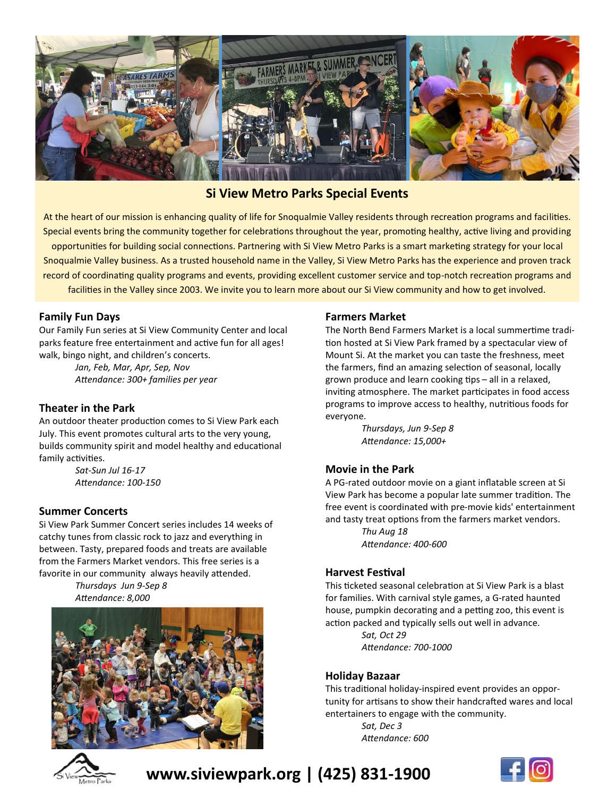

# **Si View Metro Parks Special Events**

At the heart of our mission is enhancing quality of life for Snoqualmie Valley residents through recreation programs and facilities. Special events bring the community together for celebrations throughout the year, promoting healthy, active living and providing opportunities for building social connections. Partnering with Si View Metro Parks is a smart marketing strategy for your local Snoqualmie Valley business. As a trusted household name in the Valley, Si View Metro Parks has the experience and proven track record of coordinating quality programs and events, providing excellent customer service and top-notch recreation programs and facilities in the Valley since 2003. We invite you to learn more about our Si View community and how to get involved.

### **Family Fun Days**

Our Family Fun series at Si View Community Center and local parks feature free entertainment and active fun for all ages! walk, bingo night, and children's concerts.

> *Jan, Feb, Mar, Apr, Sep, Nov Attendance: 300+ families per year*

### **Theater in the Park**

An outdoor theater production comes to Si View Park each July. This event promotes cultural arts to the very young, builds community spirit and model healthy and educational family activities.

> *Sat-Sun Jul 16-17 Attendance: 100-150*

### **Summer Concerts**

Si View Park Summer Concert series includes 14 weeks of catchy tunes from classic rock to jazz and everything in between. Tasty, prepared foods and treats are available from the Farmers Market vendors. This free series is a favorite in our community always heavily attended.

> *Thursdays Jun 9-Sep 8 Attendance: 8,000*





The North Bend Farmers Market is a local summertime tradition hosted at Si View Park framed by a spectacular view of Mount Si. At the market you can taste the freshness, meet the farmers, find an amazing selection of seasonal, locally grown produce and learn cooking tips – all in a relaxed, inviting atmosphere. The market participates in food access programs to improve access to healthy, nutritious foods for everyone.

*Thursdays, Jun 9-Sep 8 Attendance: 15,000+*

### **Movie in the Park**

A PG-rated outdoor movie on a giant inflatable screen at Si View Park has become a popular late summer tradition. The free event is coordinated with pre-movie kids' entertainment and tasty treat options from the farmers market vendors.

> *Thu Aug 18 Attendance: 400-600*

### **Harvest Festival**

This ticketed seasonal celebration at Si View Park is a blast for families. With carnival style games, a G-rated haunted house, pumpkin decorating and a petting zoo, this event is action packed and typically sells out well in advance.

> *Sat, Oct 29 Attendance: 700-1000*

### **Holiday Bazaar**

This traditional holiday-inspired event provides an opportunity for artisans to show their handcrafted wares and local entertainers to engage with the community.

*Sat, Dec 3 Attendance: 600*



**www.siviewpark.org | (425) 831-1900**